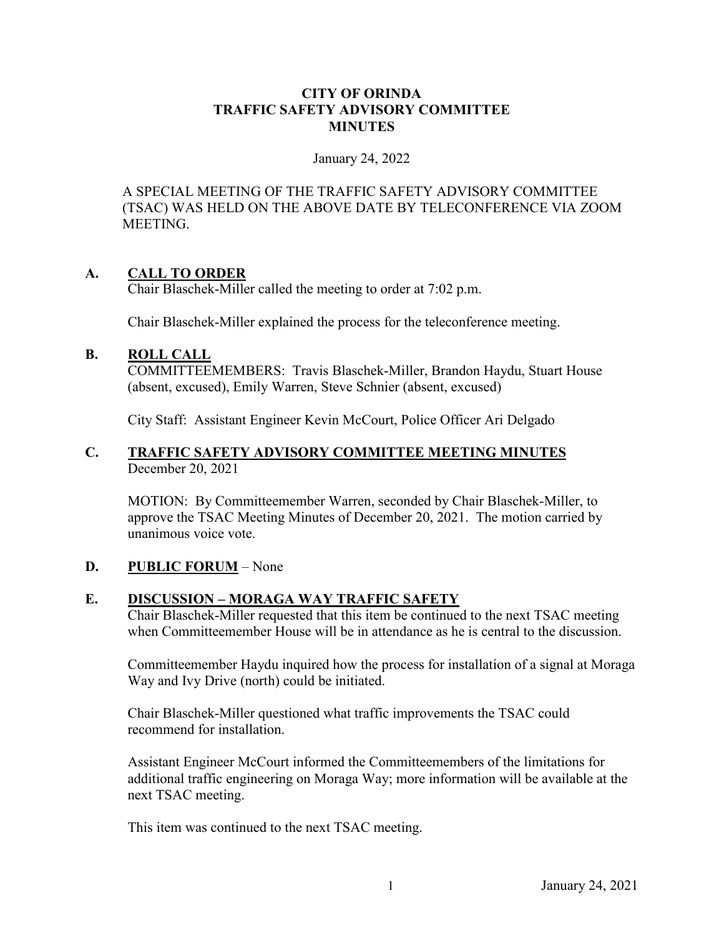#### **CITY OF ORINDA TRAFFIC SAFETY ADVISORY COMMITTEE MINUTES**

#### January 24, 2022

A SPECIAL MEETING OF THE TRAFFIC SAFETY ADVISORY COMMITTEE (TSAC) WAS HELD ON THE ABOVE DATE BY TELECONFERENCE VIA ZOOM MEETING.

## **A. CALL TO ORDER**

Chair Blaschek-Miller called the meeting to order at 7:02 p.m.

Chair Blaschek-Miller explained the process for the teleconference meeting.

## **B. ROLL CALL**

COMMITTEEMEMBERS: Travis Blaschek-Miller, Brandon Haydu, Stuart House (absent, excused), Emily Warren, Steve Schnier (absent, excused)

City Staff: Assistant Engineer Kevin McCourt, Police Officer Ari Delgado

#### **C. TRAFFIC SAFETY ADVISORY COMMITTEE MEETING MINUTES** December 20, 2021

MOTION: By Committeemember Warren, seconded by Chair Blaschek-Miller, to approve the TSAC Meeting Minutes of December 20, 2021. The motion carried by unanimous voice vote.

## **D. PUBLIC FORUM** – None

## **E. DISCUSSION – MORAGA WAY TRAFFIC SAFETY**

Chair Blaschek-Miller requested that this item be continued to the next TSAC meeting when Committeemember House will be in attendance as he is central to the discussion.

 Committeemember Haydu inquired how the process for installation of a signal at Moraga Way and Ivy Drive (north) could be initiated.

 Chair Blaschek-Miller questioned what traffic improvements the TSAC could recommend for installation.

 Assistant Engineer McCourt informed the Committeemembers of the limitations for additional traffic engineering on Moraga Way; more information will be available at the next TSAC meeting.

This item was continued to the next TSAC meeting.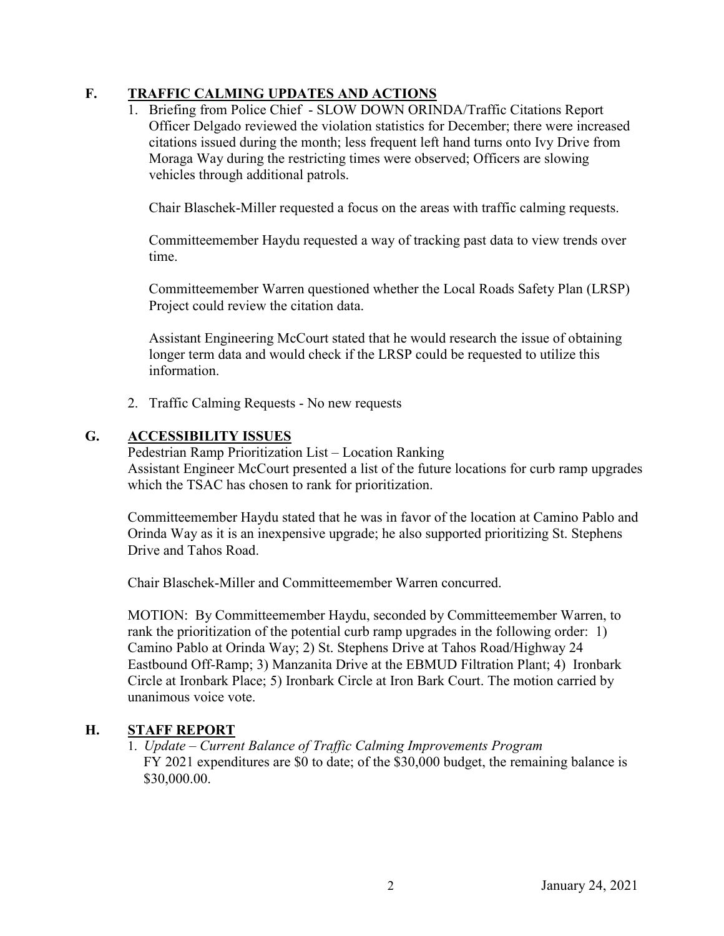# **F. TRAFFIC CALMING UPDATES AND ACTIONS**

1. Briefing from Police Chief - SLOW DOWN ORINDA/Traffic Citations Report Officer Delgado reviewed the violation statistics for December; there were increased citations issued during the month; less frequent left hand turns onto Ivy Drive from Moraga Way during the restricting times were observed; Officers are slowing vehicles through additional patrols.

Chair Blaschek-Miller requested a focus on the areas with traffic calming requests.

Committeemember Haydu requested a way of tracking past data to view trends over time.

Committeemember Warren questioned whether the Local Roads Safety Plan (LRSP) Project could review the citation data.

Assistant Engineering McCourt stated that he would research the issue of obtaining longer term data and would check if the LRSP could be requested to utilize this information.

2. Traffic Calming Requests - No new requests

## **G. ACCESSIBILITY ISSUES**

Pedestrian Ramp Prioritization List – Location Ranking Assistant Engineer McCourt presented a list of the future locations for curb ramp upgrades which the TSAC has chosen to rank for prioritization.

Committeemember Haydu stated that he was in favor of the location at Camino Pablo and Orinda Way as it is an inexpensive upgrade; he also supported prioritizing St. Stephens Drive and Tahos Road.

Chair Blaschek-Miller and Committeemember Warren concurred.

MOTION: By Committeemember Haydu, seconded by Committeemember Warren, to rank the prioritization of the potential curb ramp upgrades in the following order: 1) Camino Pablo at Orinda Way; 2) St. Stephens Drive at Tahos Road/Highway 24 Eastbound Off-Ramp; 3) Manzanita Drive at the EBMUD Filtration Plant; 4) Ironbark Circle at Ironbark Place; 5) Ironbark Circle at Iron Bark Court. The motion carried by unanimous voice vote.

## **H. STAFF REPORT**

1. *Update – Current Balance of Traffic Calming Improvements Program*  FY 2021 expenditures are \$0 to date; of the \$30,000 budget, the remaining balance is \$30,000.00.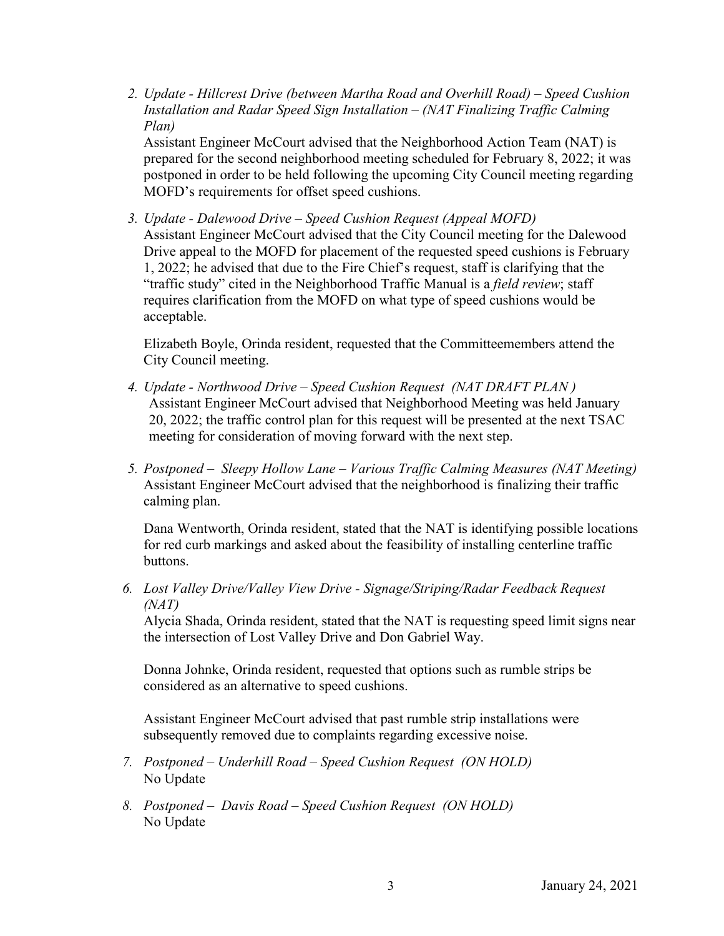*2. Update - Hillcrest Drive (between Martha Road and Overhill Road) – Speed Cushion Installation and Radar Speed Sign Installation – (NAT Finalizing Traffic Calming Plan)*

Assistant Engineer McCourt advised that the Neighborhood Action Team (NAT) is prepared for the second neighborhood meeting scheduled for February 8, 2022; it was postponed in order to be held following the upcoming City Council meeting regarding MOFD's requirements for offset speed cushions.

*3. Update - Dalewood Drive – Speed Cushion Request (Appeal MOFD)*  Assistant Engineer McCourt advised that the City Council meeting for the Dalewood Drive appeal to the MOFD for placement of the requested speed cushions is February 1, 2022; he advised that due to the Fire Chief's request, staff is clarifying that the "traffic study" cited in the Neighborhood Traffic Manual is a *field review*; staff requires clarification from the MOFD on what type of speed cushions would be acceptable.

Elizabeth Boyle, Orinda resident, requested that the Committeemembers attend the City Council meeting.

- *4. Update Northwood Drive Speed Cushion Request (NAT DRAFT PLAN )*  Assistant Engineer McCourt advised that Neighborhood Meeting was held January 20, 2022; the traffic control plan for this request will be presented at the next TSAC meeting for consideration of moving forward with the next step.
- *5. Postponed Sleepy Hollow Lane Various Traffic Calming Measures (NAT Meeting)*  Assistant Engineer McCourt advised that the neighborhood is finalizing their traffic calming plan.

Dana Wentworth, Orinda resident, stated that the NAT is identifying possible locations for red curb markings and asked about the feasibility of installing centerline traffic buttons.

*6. Lost Valley Drive/Valley View Drive - Signage/Striping/Radar Feedback Request (NAT)*

Alycia Shada, Orinda resident, stated that the NAT is requesting speed limit signs near the intersection of Lost Valley Drive and Don Gabriel Way.

Donna Johnke, Orinda resident, requested that options such as rumble strips be considered as an alternative to speed cushions.

Assistant Engineer McCourt advised that past rumble strip installations were subsequently removed due to complaints regarding excessive noise.

- *7. Postponed Underhill Road Speed Cushion Request (ON HOLD)*  No Update
- *8. Postponed Davis Road Speed Cushion Request (ON HOLD)*  No Update